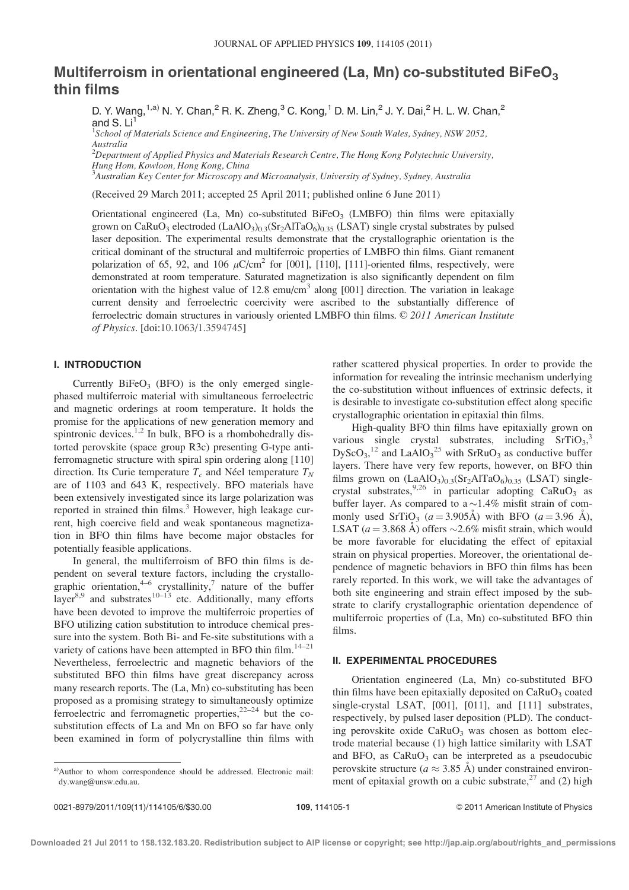# Multiferroism in orientational engineered (La, Mn) co-substituted BiFeO<sub>3</sub> thin films

D. Y. Wang, <sup>1,a)</sup> N. Y. Chan, <sup>2</sup> R. K. Zheng, <sup>3</sup> C. Kong, <sup>1</sup> D. M. Lin, <sup>2</sup> J. Y. Dai, <sup>2</sup> H. L. W. Chan, <sup>2</sup> and  $S.$  Li<sup>1</sup>

<sup>1</sup>School of Materials Science and Engineering, The University of New South Wales, Sydney, NSW 2052, Australia

 $^{2}$ Department of Applied Physics and Materials Research Centre, The Hong Kong Polytechnic University, Hung Hom, Kowloon, Hong Kong, China

<sup>3</sup>Australian Key Center for Microscopy and Microanalysis, University of Sydney, Sydney, Australia

(Received 29 March 2011; accepted 25 April 2011; published online 6 June 2011)

Orientational engineered (La, Mn) co-substituted BiFeO<sub>3</sub> (LMBFO) thin films were epitaxially grown on CaRuO<sub>3</sub> electroded (LaAlO<sub>3</sub>)<sub>0.3</sub>(Sr<sub>2</sub>AlTaO<sub>6</sub>)<sub>0.35</sub> (LSAT) single crystal substrates by pulsed laser deposition. The experimental results demonstrate that the crystallographic orientation is the critical dominant of the structural and multiferroic properties of LMBFO thin films. Giant remanent polarization of 65, 92, and 106  $\mu$ C/cm<sup>2</sup> for [001], [110], [111]-oriented films, respectively, were demonstrated at room temperature. Saturated magnetization is also significantly dependent on film orientation with the highest value of 12.8 emu/cm<sup>3</sup> along  $[001]$  direction. The variation in leakage current density and ferroelectric coercivity were ascribed to the substantially difference of ferroelectric domain structures in variously oriented LMBFO thin films. © 2011 American Institute of Physics. [doi:10.1063/1.3594745]

## I. INTRODUCTION

Currently  $BiFeO<sub>3</sub>$  (BFO) is the only emerged singlephased multiferroic material with simultaneous ferroelectric and magnetic orderings at room temperature. It holds the promise for the applications of new generation memory and spintronic devices.<sup>1,2</sup> In bulk, BFO is a rhombohedrally distorted perovskite (space group R3c) presenting G-type antiferromagnetic structure with spiral spin ordering along [110] direction. Its Curie temperature  $T_c$  and Néel temperature  $T_N$ are of 1103 and 643 K, respectively. BFO materials have been extensively investigated since its large polarization was reported in strained thin films.<sup>3</sup> However, high leakage current, high coercive field and weak spontaneous magnetization in BFO thin films have become major obstacles for potentially feasible applications.

In general, the multiferroism of BFO thin films is dependent on several texture factors, including the crystallographic orientation,  $4-6$  crystallinity,<sup>7</sup> nature of the buffer  $\mu$  and substrates<sup>10–13</sup> etc. Additionally, many efforts have been devoted to improve the multiferroic properties of BFO utilizing cation substitution to introduce chemical pressure into the system. Both Bi- and Fe-site substitutions with a variety of cations have been attempted in BFO thin film.<sup>14–21</sup> Nevertheless, ferroelectric and magnetic behaviors of the substituted BFO thin films have great discrepancy across many research reports. The (La, Mn) co-substituting has been proposed as a promising strategy to simultaneously optimize ferroelectric and ferromagnetic properties, $2^{22-24}$  but the cosubstitution effects of La and Mn on BFO so far have only been examined in form of polycrystalline thin films with rather scattered physical properties. In order to provide the information for revealing the intrinsic mechanism underlying the co-substitution without influences of extrinsic defects, it is desirable to investigate co-substitution effect along specific crystallographic orientation in epitaxial thin films.

High-quality BFO thin films have epitaxially grown on various single crystal substrates, including SrTiO<sub>3</sub>,<sup>3</sup>  $DyScO<sub>3</sub>$ ,<sup>12</sup> and LaAlO<sub>3</sub><sup>25</sup> with SrRuO<sub>3</sub> as conductive buffer layers. There have very few reports, however, on BFO thin films grown on  $(LaAlO<sub>3</sub>)<sub>0.3</sub>(Sr<sub>2</sub>AlTaO<sub>6</sub>)<sub>0.35</sub> (LSAT) single$ crystal substrates,  $9,26$  in particular adopting CaRuO<sub>3</sub> as buffer layer. As compared to a  $\sim$  1.4% misfit strain of commonly used SrTiO<sub>3</sub> ( $a = 3.905\text{\AA}$ ) with BFO ( $a = 3.96\text{\AA}$ ), LSAT  $(a = 3.868 \text{ Å})$  offers  $\sim 2.6\%$  misfit strain, which would be more favorable for elucidating the effect of epitaxial strain on physical properties. Moreover, the orientational dependence of magnetic behaviors in BFO thin films has been rarely reported. In this work, we will take the advantages of both site engineering and strain effect imposed by the substrate to clarify crystallographic orientation dependence of multiferroic properties of (La, Mn) co-substituted BFO thin films.

## II. EXPERIMENTAL PROCEDURES

Orientation engineered (La, Mn) co-substituted BFO thin films have been epitaxially deposited on  $CaRuO<sub>3</sub>$  coated single-crystal LSAT, [001], [011], and [111] substrates, respectively, by pulsed laser deposition (PLD). The conducting perovskite oxide  $CaRuO<sub>3</sub>$  was chosen as bottom electrode material because (1) high lattice similarity with LSAT and BFO, as  $CaRuO<sub>3</sub>$  can be interpreted as a pseudocubic perovskite structure ( $a \approx 3.85 \text{ Å}$ ) under constrained environment of epitaxial growth on a cubic substrate,  $27$  and (2) high

a)Author to whom correspondence should be addressed. Electronic mail: dy.wang@unsw.edu.au.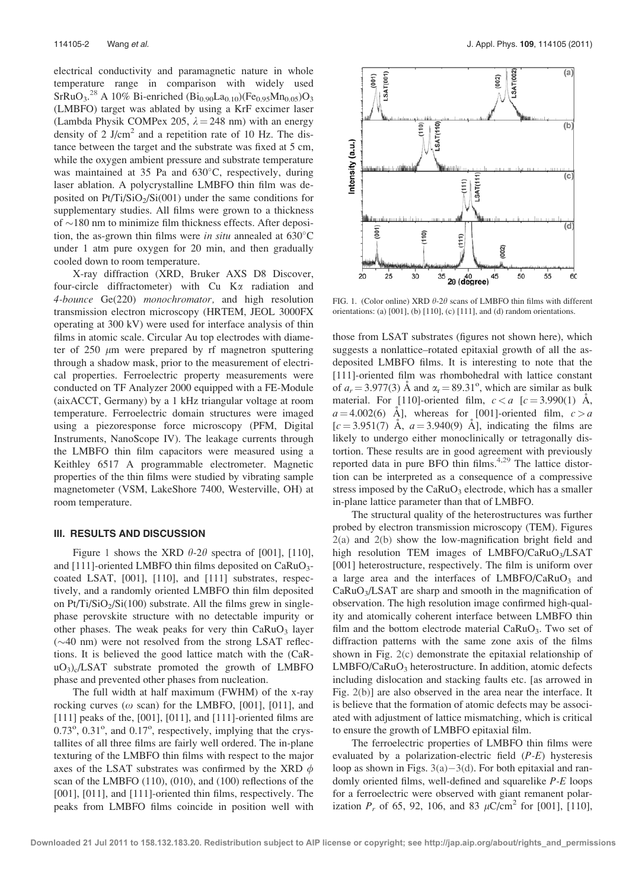electrical conductivity and paramagnetic nature in whole temperature range in comparison with widely used  $SrRuO<sub>3</sub>.<sup>28</sup>$  A 10% Bi-enriched  $(Bi<sub>0.90</sub>La<sub>0.10</sub>)(Fe<sub>0.95</sub>Mn<sub>0.05</sub>)O<sub>3</sub>$ (LMBFO) target was ablated by using a KrF excimer laser (Lambda Physik COMPex 205,  $\lambda = 248$  nm) with an energy density of 2 J/cm<sup>2</sup> and a repetition rate of 10 Hz. The distance between the target and the substrate was fixed at 5 cm, while the oxygen ambient pressure and substrate temperature was maintained at 35 Pa and  $630^{\circ}$ C, respectively, during laser ablation. A polycrystalline LMBFO thin film was deposited on  $Pt/Ti/SiO<sub>2</sub>/Si(001)$  under the same conditions for supplementary studies. All films were grown to a thickness of  $\sim$ 180 nm to minimize film thickness effects. After deposition, the as-grown thin films were in situ annealed at  $630^{\circ}$ C under 1 atm pure oxygen for 20 min, and then gradually cooled down to room temperature.

X-ray diffraction (XRD, Bruker AXS D8 Discover, four-circle diffractometer) with  $Cu$  K $\alpha$  radiation and 4-bounce Ge(220) monochromator, and high resolution transmission electron microscopy (HRTEM, JEOL 3000FX operating at 300 kV) were used for interface analysis of thin films in atomic scale. Circular Au top electrodes with diameter of  $250 \mu m$  were prepared by rf magnetron sputtering through a shadow mask, prior to the measurement of electrical properties. Ferroelectric property measurements were conducted on TF Analyzer 2000 equipped with a FE-Module (aixACCT, Germany) by a 1 kHz triangular voltage at room temperature. Ferroelectric domain structures were imaged using a piezoresponse force microscopy (PFM, Digital Instruments, NanoScope IV). The leakage currents through the LMBFO thin film capacitors were measured using a Keithley 6517 A programmable electrometer. Magnetic properties of the thin films were studied by vibrating sample magnetometer (VSM, LakeShore 7400, Westerville, OH) at room temperature.

### III. RESULTS AND DISCUSSION

Figure 1 shows the XRD  $\theta$ -2 $\theta$  spectra of [001], [110], and [111]-oriented LMBFO thin films deposited on  $CaRuO<sub>3</sub>$ coated LSAT, [001], [110], and [111] substrates, respectively, and a randomly oriented LMBFO thin film deposited on  $Pt/Ti/SiO<sub>2</sub>/Si(100)$  substrate. All the films grew in singlephase perovskite structure with no detectable impurity or other phases. The weak peaks for very thin  $CaRuO<sub>3</sub>$  layer  $(\sim 40 \text{ nm})$  were not resolved from the strong LSAT reflections. It is believed the good lattice match with the (CaR- $\mu$ O<sub>3</sub>)<sub>c</sub>/LSAT substrate promoted the growth of LMBFO phase and prevented other phases from nucleation.

The full width at half maximum (FWHM) of the x-ray rocking curves ( $\omega$  scan) for the LMBFO, [001], [011], and [111] peaks of the, [001], [011], and [111]-oriented films are  $0.73^\circ$ ,  $0.31^\circ$ , and  $0.17^\circ$ , respectively, implying that the crystallites of all three films are fairly well ordered. The in-plane texturing of the LMBFO thin films with respect to the major axes of the LSAT substrates was confirmed by the XRD  $\phi$ scan of the LMBFO (110), (010), and (100) reflections of the [001], [011], and [111]-oriented thin films, respectively. The peaks from LMBFO films coincide in position well with



FIG. 1. (Color online) XRD  $\theta$ -2 $\theta$  scans of LMBFO thin films with different orientations: (a) [001], (b) [110], (c) [111], and (d) random orientations.

those from LSAT substrates (figures not shown here), which suggests a nonlattice–rotated epitaxial growth of all the asdeposited LMBFO films. It is interesting to note that the [111]-oriented film was rhombohedral with lattice constant of  $a_r = 3.977(3)$  Å and  $\alpha_r = 89.31^{\circ}$ , which are similar as bulk material. For [110]-oriented film,  $c < a$  [ $c = 3.990(1)$  Å,  $a = 4.002(6)$  Å], whereas for [001]-oriented film,  $c > a$  $[c = 3.951(7)$  Å,  $a = 3.940(9)$  Å], indicating the films are likely to undergo either monoclinically or tetragonally distortion. These results are in good agreement with previously reported data in pure BFO thin films. $4,29$  The lattice distortion can be interpreted as a consequence of a compressive stress imposed by the  $CaRuO<sub>3</sub>$  electrode, which has a smaller in-plane lattice parameter than that of LMBFO.

The structural quality of the heterostructures was further probed by electron transmission microscopy (TEM). Figures 2(a) and 2(b) show the low-magnification bright field and high resolution TEM images of LMBFO/CaRuO<sub>3</sub>/LSAT [001] heterostructure, respectively. The film is uniform over a large area and the interfaces of  $LMBFO/CaRuO<sub>3</sub>$  and  $CaRuO<sub>3</sub>/LSAT$  are sharp and smooth in the magnification of observation. The high resolution image confirmed high-quality and atomically coherent interface between LMBFO thin film and the bottom electrode material  $CaRuO<sub>3</sub>$ . Two set of diffraction patterns with the same zone axis of the films shown in Fig. 2(c) demonstrate the epitaxial relationship of  $LMBFO/CaRuO<sub>3</sub> heterostructure. In addition, atomic defects$ including dislocation and stacking faults etc. [as arrowed in Fig. 2(b)] are also observed in the area near the interface. It is believe that the formation of atomic defects may be associated with adjustment of lattice mismatching, which is critical to ensure the growth of LMBFO epitaxial film.

The ferroelectric properties of LMBFO thin films were evaluated by a polarization-electric field (P-E) hysteresis loop as shown in Figs.  $3(a)-3(d)$ . For both epitaxial and randomly oriented films, well-defined and squarelike P-E loops for a ferroelectric were observed with giant remanent polarization  $P_r$  of 65, 92, 106, and 83  $\mu$ C/cm<sup>2</sup> for [001], [110],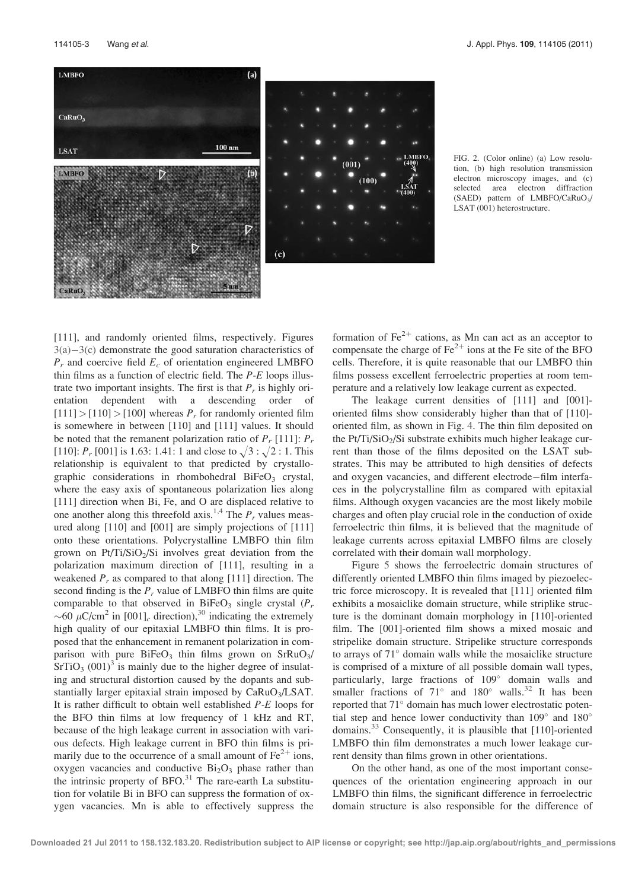



FIG. 2. (Color online) (a) Low resolution, (b) high resolution transmission electron microscopy images, and (c) selected area electron diffraction (SAED) pattern of LMBFO/CaRuO<sub>3</sub>/ LSAT (001) heterostructure.

[111], and randomly oriented films, respectively. Figures  $3(a)-3(c)$  demonstrate the good saturation characteristics of  $P_r$  and coercive field  $E_c$  of orientation engineered LMBFO thin films as a function of electric field. The  $P-E$  loops illustrate two important insights. The first is that  $P<sub>r</sub>$  is highly orientation dependent with a descending order of  $[111] > [110] > [100]$  whereas  $P_r$  for randomly oriented film is somewhere in between [110] and [111] values. It should be noted that the remanent polarization ratio of  $P_r$  [111]:  $P_r$ [110]:  $P_r$  [001] is 1.63: 1.41: 1 and close to  $\sqrt{3} : \sqrt{2} : 1$ . This relationship is equivalent to that predicted by crystallographic considerations in rhombohedral  $BiFeO<sub>3</sub>$  crystal, where the easy axis of spontaneous polarization lies along [111] direction when Bi, Fe, and O are displaced relative to one another along this threefold axis.<sup>1,4</sup> The  $P_r$  values measured along [110] and [001] are simply projections of [111] onto these orientations. Polycrystalline LMBFO thin film grown on Pt/Ti/SiO<sub>2</sub>/Si involves great deviation from the polarization maximum direction of [111], resulting in a weakened  $P_r$  as compared to that along [111] direction. The second finding is the  $P_r$  value of LMBFO thin films are quite comparable to that observed in BiFeO<sub>3</sub> single crystal  $(P_r)$ ~60  $\mu$ C/cm<sup>2</sup> in [001]<sub>c</sub> direction),<sup>30</sup> indicating the extremely high quality of our epitaxial LMBFO thin films. It is proposed that the enhancement in remanent polarization in comparison with pure  $BiFeO<sub>3</sub>$  thin films grown on  $SrRuO<sub>3</sub>/$  $SrTiO<sub>3</sub> (001)<sup>3</sup>$  is mainly due to the higher degree of insulating and structural distortion caused by the dopants and substantially larger epitaxial strain imposed by CaRuO<sub>3</sub>/LSAT. It is rather difficult to obtain well established P-E loops for the BFO thin films at low frequency of 1 kHz and RT, because of the high leakage current in association with various defects. High leakage current in BFO thin films is primarily due to the occurrence of a small amount of  $Fe^{2+}$  ions, oxygen vacancies and conductive  $Bi<sub>2</sub>O<sub>3</sub>$  phase rather than the intrinsic property of  $BFO.<sup>31</sup>$  The rare-earth La substitution for volatile Bi in BFO can suppress the formation of oxygen vacancies. Mn is able to effectively suppress the

formation of  $\text{Fe}^{2+}$  cations, as Mn can act as an acceptor to compensate the charge of  $\text{Fe}^{2+}$  ions at the Fe site of the BFO cells. Therefore, it is quite reasonable that our LMBFO thin films possess excellent ferroelectric properties at room temperature and a relatively low leakage current as expected.

The leakage current densities of [111] and [001]oriented films show considerably higher than that of [110] oriented film, as shown in Fig. 4. The thin film deposited on the Pt/Ti/SiO<sub>2</sub>/Si substrate exhibits much higher leakage current than those of the films deposited on the LSAT substrates. This may be attributed to high densities of defects and oxygen vacancies, and different electrode–film interfaces in the polycrystalline film as compared with epitaxial films. Although oxygen vacancies are the most likely mobile charges and often play crucial role in the conduction of oxide ferroelectric thin films, it is believed that the magnitude of leakage currents across epitaxial LMBFO films are closely correlated with their domain wall morphology.

Figure 5 shows the ferroelectric domain structures of differently oriented LMBFO thin films imaged by piezoelectric force microscopy. It is revealed that [111] oriented film exhibits a mosaiclike domain structure, while striplike structure is the dominant domain morphology in [110]-oriented film. The [001]-oriented film shows a mixed mosaic and stripelike domain structure. Stripelike structure corresponds to arrays of  $71^\circ$  domain walls while the mosaiclike structure is comprised of a mixture of all possible domain wall types, particularly, large fractions of 109 domain walls and smaller fractions of  $71^\circ$  and  $180^\circ$  walls.<sup>32</sup> It has been reported that 71° domain has much lower electrostatic potential step and hence lower conductivity than  $109^{\circ}$  and  $180^{\circ}$ domains.33 Consequently, it is plausible that [110]-oriented LMBFO thin film demonstrates a much lower leakage current density than films grown in other orientations.

On the other hand, as one of the most important consequences of the orientation engineering approach in our LMBFO thin films, the significant difference in ferroelectric domain structure is also responsible for the difference of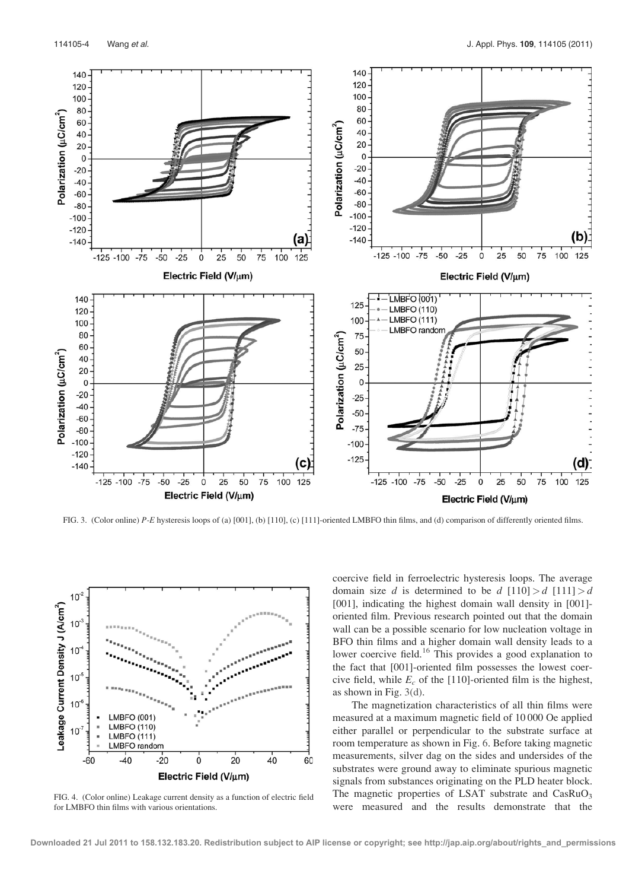

FIG. 3. (Color online) P-E hysteresis loops of (a) [001], (b) [110], (c) [111]-oriented LMBFO thin films, and (d) comparison of differently oriented films.



FIG. 4. (Color online) Leakage current density as a function of electric field for LMBFO thin films with various orientations.

coercive field in ferroelectric hysteresis loops. The average domain size d is determined to be d  $(110) > d$   $(111) > d$ [001], indicating the highest domain wall density in [001] oriented film. Previous research pointed out that the domain wall can be a possible scenario for low nucleation voltage in BFO thin films and a higher domain wall density leads to a lower coercive field.<sup>16</sup> This provides a good explanation to the fact that [001]-oriented film possesses the lowest coercive field, while  $E_c$  of the [110]-oriented film is the highest, as shown in Fig. 3(d).

The magnetization characteristics of all thin films were measured at a maximum magnetic field of 10 000 Oe applied either parallel or perpendicular to the substrate surface at room temperature as shown in Fig. 6. Before taking magnetic measurements, silver dag on the sides and undersides of the substrates were ground away to eliminate spurious magnetic signals from substances originating on the PLD heater block. The magnetic properties of LSAT substrate and  $CasRuO<sub>3</sub>$ were measured and the results demonstrate that the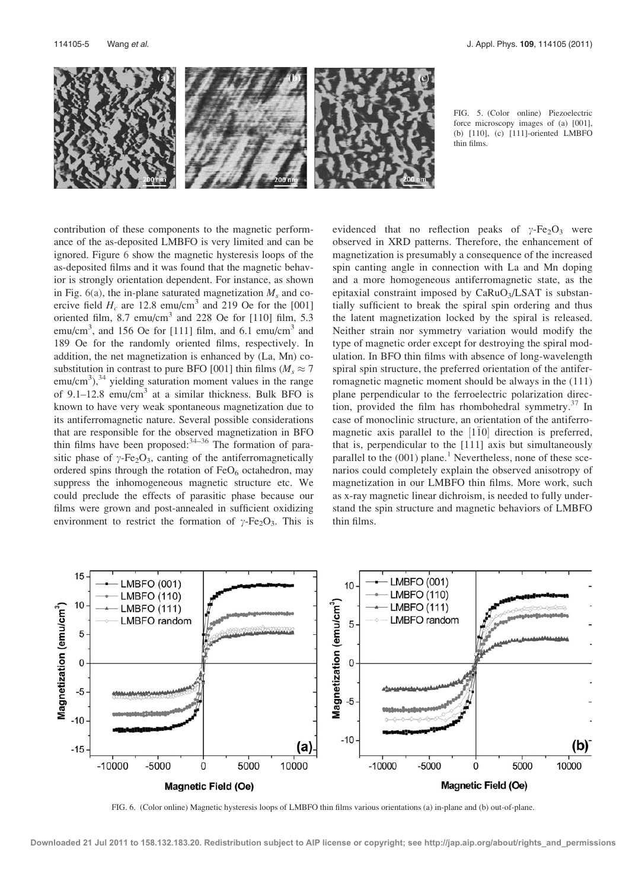

FIG. 5. (Color online) Piezoelectric force microscopy images of (a) [001], (b) [110], (c) [111]-oriented LMBFO thin films.

contribution of these components to the magnetic performance of the as-deposited LMBFO is very limited and can be ignored. Figure 6 show the magnetic hysteresis loops of the as-deposited films and it was found that the magnetic behavior is strongly orientation dependent. For instance, as shown in Fig.  $6(a)$ , the in-plane saturated magnetization  $M_s$  and coercive field  $H_c$  are 12.8 emu/cm<sup>3</sup> and 219 Oe for the [001] oriented film, 8.7 emu/cm<sup>3</sup> and 228 Oe for  $[110]$  film, 5.3 emu/cm<sup>3</sup>, and 156 Oe for [111] film, and 6.1 emu/cm<sup>3</sup> and 189 Oe for the randomly oriented films, respectively. In addition, the net magnetization is enhanced by (La, Mn) cosubstitution in contrast to pure BFO [001] thin films ( $M_s \approx 7$  $\text{emu/cm}^3$ ),<sup>34</sup> yielding saturation moment values in the range of  $9.1-12.8$  emu/cm<sup>3</sup> at a similar thickness. Bulk BFO is known to have very weak spontaneous magnetization due to its antiferromagnetic nature. Several possible considerations that are responsible for the observed magnetization in BFO thin films have been proposed: $34-36$  The formation of parasitic phase of  $\gamma$ -Fe<sub>2</sub>O<sub>3</sub>, canting of the antiferromagnetically ordered spins through the rotation of  $FeO<sub>6</sub>$  octahedron, may suppress the inhomogeneous magnetic structure etc. We could preclude the effects of parasitic phase because our films were grown and post-annealed in sufficient oxidizing environment to restrict the formation of  $\gamma$ -Fe<sub>2</sub>O<sub>3</sub>. This is evidenced that no reflection peaks of  $\gamma$ -Fe<sub>2</sub>O<sub>3</sub> were observed in XRD patterns. Therefore, the enhancement of magnetization is presumably a consequence of the increased spin canting angle in connection with La and Mn doping and a more homogeneous antiferromagnetic state, as the epitaxial constraint imposed by  $CaRuO<sub>3</sub>/LSAT$  is substantially sufficient to break the spiral spin ordering and thus the latent magnetization locked by the spiral is released. Neither strain nor symmetry variation would modify the type of magnetic order except for destroying the spiral modulation. In BFO thin films with absence of long-wavelength spiral spin structure, the preferred orientation of the antiferromagnetic magnetic moment should be always in the (111) plane perpendicular to the ferroelectric polarization direction, provided the film has rhombohedral symmetry. $37$  In case of monoclinic structure, an orientation of the antiferromagnetic axis parallel to the  $[1\bar{1}0]$  direction is preferred, that is, perpendicular to the [111] axis but simultaneously parallel to the  $(001)$  plane.<sup>1</sup> Nevertheless, none of these scenarios could completely explain the observed anisotropy of magnetization in our LMBFO thin films. More work, such as x-ray magnetic linear dichroism, is needed to fully understand the spin structure and magnetic behaviors of LMBFO thin films.



FIG. 6. (Color online) Magnetic hysteresis loops of LMBFO thin films various orientations (a) in-plane and (b) out-of-plane.